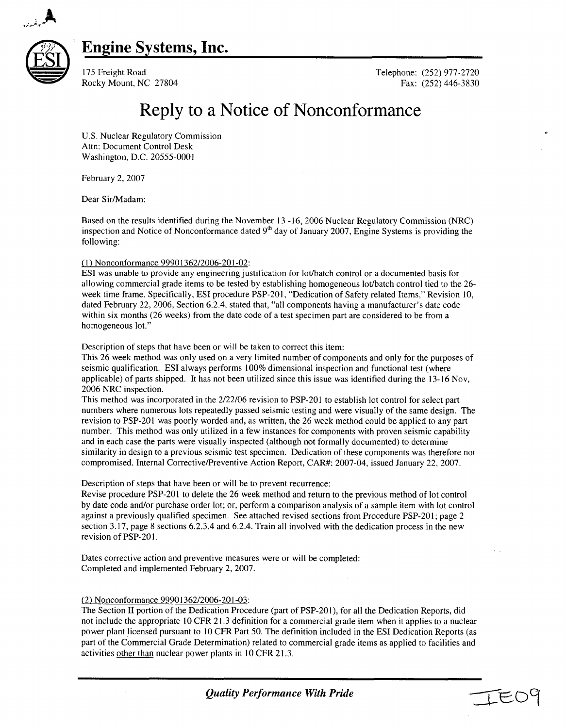

### Engine Systems, Inc.



175 Freight Road Telephone: (252) 977-2720 Rocky Mount, NC 27804 Fax: (252) 446-3830

# Reply to a Notice of Nonconformance

U.S. Nuclear Regulatory Commission Attn: Document Control Desk Washington, D.C. 20555-0001

February 2, 2007

Dear Sir/Madam:

Based on the results identified during the November 13 -16, 2006 Nuclear Regulatory Commission (NRC) inspection and Notice of Nonconformance dated **9h** day of January 2007, Engine Systems is providing the following:

#### **(1)** Nonconformance 99901362/2006-201-02:

ESI was unable to provide any engineering justification for lot/batch control or a documented basis for allowing commercial grade items to be tested by establishing homogeneous lot/batch control tied to the 26 week time frame. Specifically, ESI procedure PSP-201, "Dedication of Safety related Items," Revision 10, dated February 22, 2006, Section 6.2.4, stated that, "all components having a manufacturer's date code within six months (26 weeks) from the date code of a test specimen part are considered to be from a homogeneous lot."

Description of steps that have been or will be taken to correct this item:

This 26 week method was only used on a very limited number of components and only for the purposes of seismic qualification. ESI always performs 100% dimensional inspection and functional test (where applicable) of parts shipped. It has not been utilized since this issue was identified during the 13-16 Nov, 2006 NRC inspection.

This method was incorporated in the 2/22/06 revision to PSP-201 to establish lot control for select part numbers where numerous lots repeatedly passed seismic testing and were visually of the same design. The revision to PSP-201 was poorly worded and, as written, the 26 week method could be applied to any part number. This method was only utilized in a few instances for components with proven seismic capability and in each case the parts were visually inspected (although not formally documented) to determine similarity in design to a previous seismic test specimen. Dedication of these components was therefore not compromised. Internal Corrective/Preventive Action Report, CAR#: 2007-04, issued January 22, 2007.

Description of steps that have been or will be to prevent recurrence:

Revise procedure PSP-201 to delete the 26 week method and return to the previous method of lot control by date code and/or purchase order lot; or, perform a comparison analysis of a sample item with lot control against a previously qualified specimen. See attached revised sections from Procedure PSP-201; page 2 section 3.17, page 8 sections 6.2.3.4 and 6.2.4. Train all involved with the dedication process in the new revision of PSP-20 **1.**

Dates corrective action and preventive measures were or will be completed: Completed and implemented February 2, 2007.

### (2) Nonconformance 99901362/2006-201-03:

The Section II portion of the Dedication Procedure (part of PSP-201), for all the Dedication Reports, did not include the appropriate **10** CFR 21.3 definition for a commercial grade item when it applies to a nuclear power plant licensed pursuant to 10 CFR Part 50. The definition included in the ESI Dedication Reports (as part of the Commercial Grade Determination) related to commercial grade items as applied to facilities and activities other than nuclear power plants in 10 CFR 21.3.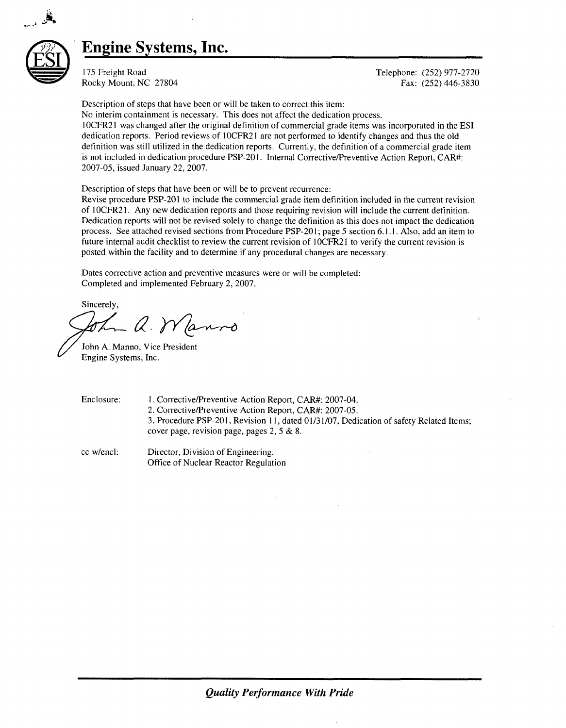

### **Engine** Systems, Inc.

175 Freight Road Telephone: (252) 977-2720 Rocky Mount, NC 27804 Fax: (252) 446-3830

Description of steps that have been or will be taken to correct this item:

No interim containment is necessary. This does not affect the dedication process.

**I** 0CFR21 was changed after the original definition of commercial grade items was incorporated in the ESI dedication reports. Period reviews of **I** OCFR21 are not performed to identify changes and thus the old definition was still utilized in the dedication reports. Currently, the definition of a commercial grade item is not included in dedication procedure PSP-201. Internal Corrective/Preventive Action Report, CAR#: 2007-05, issued January 22, 2007.

Description of steps that have been or will be to prevent recurrence:

Revise procedure PSP-201 to include the commercial grade item definition included in the current revision of IOCFR21. Any new dedication reports and those requiring revision will include the current definition. Dedication reports will not be revised solely to change the definition as this does not impact the dedication process. See attached revised sections from Procedure PSP-201; page 5 section 6.1.1. Also, add an item to future internal audit checklist to review the current revision of **I** OCFR21 to verify the current revision is posted within the facility and to determine if any procedural changes are necessary.

Dates corrective action and preventive measures were or will be completed: Completed and implemented February 2, 2007.

Sincerely, - a. Wanno

John A. Manno, Vice President Engine Systems, Inc.

Enclosure: **1.** Corrective/Preventive Action Report, CAR#: 2007-04. 2. Corrective/Preventive Action Report, CAR#: 2007-05.

3. Procedure PSP-201, Revision **11,** dated 01/31/07, Dedication of safety Related Items; cover page, revision page, pages 2, 5 & 8.

cc w/encl: Director, Division of Engineering, Office of Nuclear Reactor Regulation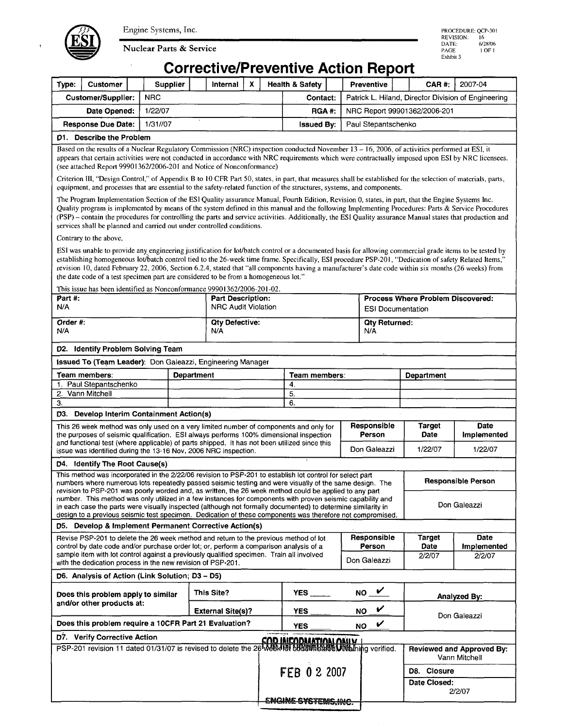Engine Systems, Inc.



Nuclear Parts & Service

## Corrective/Preventive Action Report

| Type:                                                                                                                                                                                                                                                                                                                                                                                                                                                                                                                                           | <b>Customer</b>                                                                                                                                                                                                                                                                                                                                                                                                                                                                                                                                                 |  | Supplier                                               | Internal                                 | $\boldsymbol{x}$ | <b>Health &amp; Safety</b> |                                                                      |              | Preventive                            |  | CAR#:                            | 2007-04                               |  |  |
|-------------------------------------------------------------------------------------------------------------------------------------------------------------------------------------------------------------------------------------------------------------------------------------------------------------------------------------------------------------------------------------------------------------------------------------------------------------------------------------------------------------------------------------------------|-----------------------------------------------------------------------------------------------------------------------------------------------------------------------------------------------------------------------------------------------------------------------------------------------------------------------------------------------------------------------------------------------------------------------------------------------------------------------------------------------------------------------------------------------------------------|--|--------------------------------------------------------|------------------------------------------|------------------|----------------------------|----------------------------------------------------------------------|--------------|---------------------------------------|--|----------------------------------|---------------------------------------|--|--|
| <b>NRC</b><br><b>Customer/Supplier:</b><br>Patrick L. Hiland, Director Division of Engineering<br>Contact:<br>1/22/07<br>Date Opened:<br><b>RGA#:</b><br>NRC Report 99901362/2006-201                                                                                                                                                                                                                                                                                                                                                           |                                                                                                                                                                                                                                                                                                                                                                                                                                                                                                                                                                 |  |                                                        |                                          |                  |                            |                                                                      |              |                                       |  |                                  |                                       |  |  |
|                                                                                                                                                                                                                                                                                                                                                                                                                                                                                                                                                 |                                                                                                                                                                                                                                                                                                                                                                                                                                                                                                                                                                 |  |                                                        |                                          |                  |                            |                                                                      |              |                                       |  |                                  |                                       |  |  |
| 1/31//07<br><b>Response Due Date:</b>                                                                                                                                                                                                                                                                                                                                                                                                                                                                                                           |                                                                                                                                                                                                                                                                                                                                                                                                                                                                                                                                                                 |  |                                                        | <b>Issued By:</b><br>Paul Stepantschenko |                  |                            |                                                                      |              |                                       |  |                                  |                                       |  |  |
| D1. Describe the Problem                                                                                                                                                                                                                                                                                                                                                                                                                                                                                                                        |                                                                                                                                                                                                                                                                                                                                                                                                                                                                                                                                                                 |  |                                                        |                                          |                  |                            |                                                                      |              |                                       |  |                                  |                                       |  |  |
|                                                                                                                                                                                                                                                                                                                                                                                                                                                                                                                                                 | Based on the results of a Nuclear Regulatory Commission (NRC) inspection conducted November 13 - 16, 2006, of activities performed at ESI, it<br>appears that certain activities were not conducted in accordance with NRC requirements which were contractually imposed upon ESI by NRC licensees.<br>(see attached Report 99901362/2006-201 and Notice of Nonconformance)                                                                                                                                                                                     |  |                                                        |                                          |                  |                            |                                                                      |              |                                       |  |                                  |                                       |  |  |
|                                                                                                                                                                                                                                                                                                                                                                                                                                                                                                                                                 | Criterion III, "Design Control," of Appendix B to 10 CFR Part 50, states, in part, that measures shall be established for the selection of materials, parts,<br>equipment, and processes that are essential to the safety-related function of the structures, systems, and components.                                                                                                                                                                                                                                                                          |  |                                                        |                                          |                  |                            |                                                                      |              |                                       |  |                                  |                                       |  |  |
| The Program Implementation Section of the ESI Quality assurance Manual, Fourth Edition, Revision 0, states, in part, that the Engine Systems Inc.<br>Quality program is implemented by means of the system defined in this manual and the following Implementing Procedures: Parts & Service Procedures<br>(PSP) – contain the procedures for controlling the parts and service activities. Additionally, the ESI Quality assurance Manual states that production and<br>services shall be planned and carried out under controlled conditions. |                                                                                                                                                                                                                                                                                                                                                                                                                                                                                                                                                                 |  |                                                        |                                          |                  |                            |                                                                      |              |                                       |  |                                  |                                       |  |  |
|                                                                                                                                                                                                                                                                                                                                                                                                                                                                                                                                                 | Contrary to the above,                                                                                                                                                                                                                                                                                                                                                                                                                                                                                                                                          |  |                                                        |                                          |                  |                            |                                                                      |              |                                       |  |                                  |                                       |  |  |
|                                                                                                                                                                                                                                                                                                                                                                                                                                                                                                                                                 | ESI was unable to provide any engineering justification for lot/batch control or a documented basis for allowing commercial grade items to be tested by<br>establishing homogeneous lot/batch control tied to the 26-week time frame. Specifically, ESI procedure PSP-201, "Dedication of safety Related Items,"<br>revision 10, dated February 22, 2006, Section 6.2.4, stated that "all components having a manufacturer's date code within six months (26 weeks) from<br>the date code of a test specimen part are considered to be from a homogeneous lot." |  |                                                        |                                          |                  |                            |                                                                      |              |                                       |  |                                  |                                       |  |  |
| This issue has been identified as Nonconformance 99901362/2006-201-02.                                                                                                                                                                                                                                                                                                                                                                                                                                                                          |                                                                                                                                                                                                                                                                                                                                                                                                                                                                                                                                                                 |  |                                                        |                                          |                  |                            |                                                                      |              |                                       |  |                                  |                                       |  |  |
| Part #:<br>N/A                                                                                                                                                                                                                                                                                                                                                                                                                                                                                                                                  |                                                                                                                                                                                                                                                                                                                                                                                                                                                                                                                                                                 |  | <b>Part Description:</b><br><b>NRC Audit Violation</b> |                                          |                  |                            | <b>Process Where Problem Discovered:</b><br><b>ESI Documentation</b> |              |                                       |  |                                  |                                       |  |  |
| Order #:<br>N/A                                                                                                                                                                                                                                                                                                                                                                                                                                                                                                                                 |                                                                                                                                                                                                                                                                                                                                                                                                                                                                                                                                                                 |  |                                                        | <b>Qty Defective:</b><br>N/A             |                  |                            |                                                                      |              | <b>Qty Returned:</b><br>N/A           |  |                                  |                                       |  |  |
| D2. Identify Problem Solving Team                                                                                                                                                                                                                                                                                                                                                                                                                                                                                                               |                                                                                                                                                                                                                                                                                                                                                                                                                                                                                                                                                                 |  |                                                        |                                          |                  |                            |                                                                      |              |                                       |  |                                  |                                       |  |  |
|                                                                                                                                                                                                                                                                                                                                                                                                                                                                                                                                                 | Issued To (Team Leader): Don Galeazzi, Engineering Manager                                                                                                                                                                                                                                                                                                                                                                                                                                                                                                      |  |                                                        |                                          |                  |                            |                                                                      |              |                                       |  |                                  |                                       |  |  |
|                                                                                                                                                                                                                                                                                                                                                                                                                                                                                                                                                 | Team members:                                                                                                                                                                                                                                                                                                                                                                                                                                                                                                                                                   |  |                                                        | <b>Department</b>                        |                  |                            | Team members:                                                        |              |                                       |  | Department                       |                                       |  |  |
|                                                                                                                                                                                                                                                                                                                                                                                                                                                                                                                                                 | 1. Paul Stepantschenko<br>2. Vann Mitchell                                                                                                                                                                                                                                                                                                                                                                                                                                                                                                                      |  |                                                        |                                          |                  |                            | 4.                                                                   |              |                                       |  |                                  |                                       |  |  |
| З.                                                                                                                                                                                                                                                                                                                                                                                                                                                                                                                                              |                                                                                                                                                                                                                                                                                                                                                                                                                                                                                                                                                                 |  |                                                        |                                          |                  | 5.<br>6.                   |                                                                      |              |                                       |  |                                  |                                       |  |  |
|                                                                                                                                                                                                                                                                                                                                                                                                                                                                                                                                                 |                                                                                                                                                                                                                                                                                                                                                                                                                                                                                                                                                                 |  |                                                        |                                          |                  |                            |                                                                      |              |                                       |  |                                  |                                       |  |  |
| D3. Develop Interim Containment Action(s)<br>This 26 week method was only used on a very limited number of components and only for<br>the purposes of seismic qualification. ESI always performs 100% dimensional inspection<br>and functional test (where applicable) of parts shipped. It has not been utilized since this<br>issue was identified during the 13-16 Nov, 2006 NRC inspection.                                                                                                                                                 |                                                                                                                                                                                                                                                                                                                                                                                                                                                                                                                                                                 |  |                                                        |                                          |                  |                            |                                                                      |              | Responsible<br>Person<br>Don Galeazzi |  | Target<br><b>Date</b><br>1/22/07 | Date<br><b>Implemented</b><br>1/22/07 |  |  |
|                                                                                                                                                                                                                                                                                                                                                                                                                                                                                                                                                 | D4. Identify The Root Cause(s)                                                                                                                                                                                                                                                                                                                                                                                                                                                                                                                                  |  |                                                        |                                          |                  |                            |                                                                      |              |                                       |  |                                  |                                       |  |  |
|                                                                                                                                                                                                                                                                                                                                                                                                                                                                                                                                                 | This method was incorporated in the 2/22/06 revision to PSP-201 to establish lot control for select part<br>numbers where numerous lots repeatedly passed seismic testing and were visually of the same design. The                                                                                                                                                                                                                                                                                                                                             |  |                                                        |                                          |                  |                            |                                                                      |              |                                       |  |                                  | <b>Responsible Person</b>             |  |  |
|                                                                                                                                                                                                                                                                                                                                                                                                                                                                                                                                                 | revision to PSP-201 was poorly worded and, as written, the 26 week method could be applied to any part<br>number. This method was only utilized in a few instances for components with proven seismic capability and<br>in each case the parts were visually inspected (although not formally documented) to determine similarity in<br>design to a previous seismic test specimen. Dedication of these components was therefore not compromised.                                                                                                               |  |                                                        |                                          |                  |                            |                                                                      |              |                                       |  |                                  | Don Galeazzi                          |  |  |
|                                                                                                                                                                                                                                                                                                                                                                                                                                                                                                                                                 | D5. Develop & Implement Permanent Corrective Action(s)                                                                                                                                                                                                                                                                                                                                                                                                                                                                                                          |  |                                                        |                                          |                  |                            |                                                                      |              |                                       |  |                                  |                                       |  |  |
|                                                                                                                                                                                                                                                                                                                                                                                                                                                                                                                                                 | Revise PSP-201 to delete the 26 week method and return to the previous method of lot<br>control by date code and/or purchase order lot; or, perform a comparison analysis of a                                                                                                                                                                                                                                                                                                                                                                                  |  |                                                        |                                          |                  |                            |                                                                      |              | Responsible<br>Person                 |  | Target<br>Date                   | Date<br>Implemented                   |  |  |
| sample item with lot control against a previously qualified specimen. Train all involved<br>2/2/07<br>Don Galeazzi<br>with the dedication process in the new revision of PSP-201.                                                                                                                                                                                                                                                                                                                                                               |                                                                                                                                                                                                                                                                                                                                                                                                                                                                                                                                                                 |  |                                                        |                                          |                  |                            |                                                                      |              | 2/2/07                                |  |                                  |                                       |  |  |
|                                                                                                                                                                                                                                                                                                                                                                                                                                                                                                                                                 | D6. Analysis of Action (Link Solution; D3 – D5)                                                                                                                                                                                                                                                                                                                                                                                                                                                                                                                 |  |                                                        |                                          |                  |                            |                                                                      |              |                                       |  |                                  |                                       |  |  |
| Does this problem apply to similar<br>and/or other products at:                                                                                                                                                                                                                                                                                                                                                                                                                                                                                 |                                                                                                                                                                                                                                                                                                                                                                                                                                                                                                                                                                 |  |                                                        | This Site?                               |                  |                            | YES                                                                  | $NO_{\perp}$ |                                       |  | Analyzed By:                     |                                       |  |  |
|                                                                                                                                                                                                                                                                                                                                                                                                                                                                                                                                                 | <b>External Site(s)?</b><br>Does this problem require a 10CFR Part 21 Evaluation?                                                                                                                                                                                                                                                                                                                                                                                                                                                                               |  |                                                        |                                          |                  | <b>YES</b><br><b>YES</b>   |                                                                      |              | V<br>NO<br>V<br>NO                    |  | Don Galeazzi                     |                                       |  |  |
|                                                                                                                                                                                                                                                                                                                                                                                                                                                                                                                                                 | D7. Verify Corrective Action                                                                                                                                                                                                                                                                                                                                                                                                                                                                                                                                    |  |                                                        |                                          |                  |                            |                                                                      |              |                                       |  |                                  |                                       |  |  |
| <u>COD INICODIAATION ONUV</u><br>PSP-201 revision 11 dated 01/31/07 is revised to delete the 26 Meth 181 broad Method Unioning verified.<br><b>Reviewed and Approved By:</b><br>Vann Mitchell                                                                                                                                                                                                                                                                                                                                                   |                                                                                                                                                                                                                                                                                                                                                                                                                                                                                                                                                                 |  |                                                        |                                          |                  |                            |                                                                      |              |                                       |  |                                  |                                       |  |  |
|                                                                                                                                                                                                                                                                                                                                                                                                                                                                                                                                                 |                                                                                                                                                                                                                                                                                                                                                                                                                                                                                                                                                                 |  |                                                        |                                          |                  |                            | FEB 0 2 2007                                                         |              |                                       |  | D8. Closure                      |                                       |  |  |
|                                                                                                                                                                                                                                                                                                                                                                                                                                                                                                                                                 |                                                                                                                                                                                                                                                                                                                                                                                                                                                                                                                                                                 |  |                                                        |                                          |                  |                            |                                                                      |              |                                       |  | Date Closed:                     |                                       |  |  |
|                                                                                                                                                                                                                                                                                                                                                                                                                                                                                                                                                 |                                                                                                                                                                                                                                                                                                                                                                                                                                                                                                                                                                 |  |                                                        |                                          |                  |                            | <b>ENGINE SYSTEMS, INC.</b>                                          |              |                                       |  |                                  | 2/2/07                                |  |  |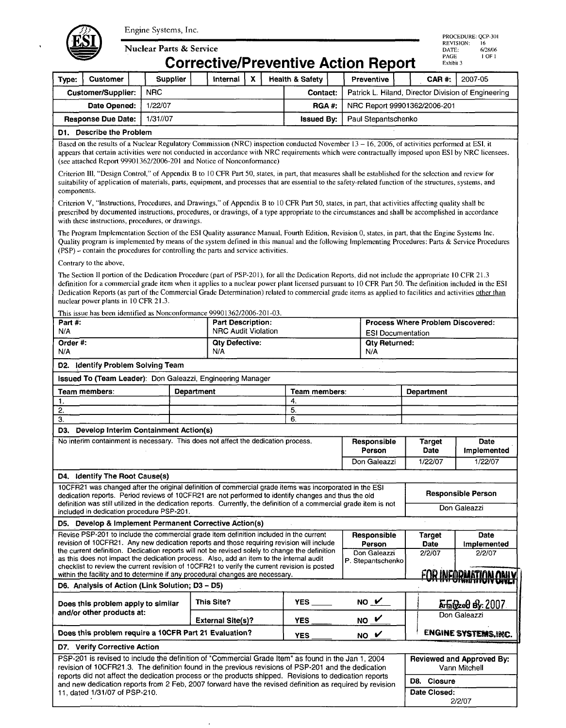

**Nuclear Parts & Service** 

Engine Systems, Inc.<br>
Nuclear Parts & Service<br> **COITECLIVE/Preventive Action Report**<br>
PAGE 10F1 Corrective/Preventive Action Report

|                                       |                                                                                                                                                                                                                                                                                                                                                                                                                                                                                                                                                                                           |                 |            |                                                             |                            | CONGLIVERTIEVENING ACUON REPORT                     |                              |                                   |  |                              |                                                          |  |  |
|---------------------------------------|-------------------------------------------------------------------------------------------------------------------------------------------------------------------------------------------------------------------------------------------------------------------------------------------------------------------------------------------------------------------------------------------------------------------------------------------------------------------------------------------------------------------------------------------------------------------------------------------|-----------------|------------|-------------------------------------------------------------|----------------------------|-----------------------------------------------------|------------------------------|-----------------------------------|--|------------------------------|----------------------------------------------------------|--|--|
| Type:                                 | <b>Customer</b>                                                                                                                                                                                                                                                                                                                                                                                                                                                                                                                                                                           | <b>Supplier</b> |            | Internal                                                    | $\mathbf{x}$               | <b>Health &amp; Safety</b>                          |                              | Preventive                        |  | CAR #:                       | 2007-05                                                  |  |  |
|                                       | <b>Customer/Supplier:</b>                                                                                                                                                                                                                                                                                                                                                                                                                                                                                                                                                                 | <b>NRC</b>      | Contact:   |                                                             |                            | Patrick L. Hiland, Director Division of Engineering |                              |                                   |  |                              |                                                          |  |  |
|                                       | Date Opened:                                                                                                                                                                                                                                                                                                                                                                                                                                                                                                                                                                              | 1/22/07         |            | RGA#:                                                       |                            |                                                     | NRC Report 99901362/2006-201 |                                   |  |                              |                                                          |  |  |
| 1/31//07<br><b>Response Due Date:</b> |                                                                                                                                                                                                                                                                                                                                                                                                                                                                                                                                                                                           |                 |            | <b>Issued By:</b><br>Paul Stepantschenko                    |                            |                                                     |                              |                                   |  |                              |                                                          |  |  |
|                                       | D1. Describe the Problem                                                                                                                                                                                                                                                                                                                                                                                                                                                                                                                                                                  |                 |            |                                                             |                            |                                                     |                              |                                   |  |                              |                                                          |  |  |
|                                       | Based on the results of a Nuclear Regulatory Commission (NRC) inspection conducted November 13 – 16, 2006, of activities performed at ESI, it<br>appears that certain activities were not conducted in accordance with NRC requirements which were contractually imposed upon ESI by NRC licensees.<br>(see attached Report 99901362/2006-201 and Notice of Nonconformance)                                                                                                                                                                                                               |                 |            |                                                             |                            |                                                     |                              |                                   |  |                              |                                                          |  |  |
| components.                           | Criterion III, "Design Control," of Appendix B to 10 CFR Part 50, states, in part, that measures shall be established for the selection and review for<br>suitability of application of materials, parts, equipment, and processes that are essential to the safety-related function of the structures, systems, and                                                                                                                                                                                                                                                                      |                 |            |                                                             |                            |                                                     |                              |                                   |  |                              |                                                          |  |  |
|                                       | Criterion V, "Instructions, Procedures, and Drawings," of Appendix B to 10 CFR Part 50, states, in part, that activities affecting quality shall be<br>prescribed by documented instructions, procedures, or drawings, of a type appropriate to the circumstances and shall be accomplished in accordance<br>with these instructions, procedures, or drawings.                                                                                                                                                                                                                            |                 |            |                                                             |                            |                                                     |                              |                                   |  |                              |                                                          |  |  |
|                                       | The Program Implementation Section of the ESI Quality assurance Manual, Fourth Edition, Revision 0, states, in part, that the Engine Systems Inc.<br>Quality program is implemented by means of the system defined in this manual and the following Implementing Procedures: Parts & Service Procedures<br>(PSP) – contain the procedures for controlling the parts and service activities.                                                                                                                                                                                               |                 |            |                                                             |                            |                                                     |                              |                                   |  |                              |                                                          |  |  |
|                                       | Contrary to the above,                                                                                                                                                                                                                                                                                                                                                                                                                                                                                                                                                                    |                 |            |                                                             |                            |                                                     |                              |                                   |  |                              |                                                          |  |  |
|                                       | The Section II portion of the Dedication Procedure (part of PSP-201), for all the Dedication Reports, did not include the appropriate 10 CFR 21.3<br>definition for a commercial grade item when it applies to a nuclear power plant licensed pursuant to 10 CFR Part 50. The definition included in the ESI<br>Dedication Reports (as part of the Commercial Grade Determination) related to commercial grade items as applied to facilities and activities other than<br>nuclear power plants in 10 CFR 21.3.<br>This issue has been identified as Nonconformance 99901362/2006-201-03. |                 |            |                                                             |                            |                                                     |                              |                                   |  |                              |                                                          |  |  |
| Part #.                               |                                                                                                                                                                                                                                                                                                                                                                                                                                                                                                                                                                                           |                 |            | <b>Part Description:</b>                                    |                            |                                                     |                              |                                   |  |                              | Process Where Problem Discovered:                        |  |  |
| N/A                                   |                                                                                                                                                                                                                                                                                                                                                                                                                                                                                                                                                                                           |                 |            |                                                             | <b>NRC Audit Violation</b> |                                                     |                              | <b>ESI Documentation</b>          |  |                              |                                                          |  |  |
| Order #:<br>N/A                       |                                                                                                                                                                                                                                                                                                                                                                                                                                                                                                                                                                                           |                 |            | <b>Oty Defective:</b><br><b>Qty Returned:</b><br>N/A<br>N/A |                            |                                                     |                              |                                   |  |                              |                                                          |  |  |
|                                       | D2. Identify Problem Solving Team                                                                                                                                                                                                                                                                                                                                                                                                                                                                                                                                                         |                 |            |                                                             |                            |                                                     |                              |                                   |  |                              |                                                          |  |  |
|                                       | Issued To (Team Leader): Don Galeazzi, Engineering Manager                                                                                                                                                                                                                                                                                                                                                                                                                                                                                                                                |                 |            |                                                             |                            |                                                     |                              |                                   |  |                              |                                                          |  |  |
| Team members:<br><b>Department</b>    |                                                                                                                                                                                                                                                                                                                                                                                                                                                                                                                                                                                           |                 |            | Team members:                                               |                            |                                                     |                              | Department                        |  |                              |                                                          |  |  |
|                                       | 4.                                                                                                                                                                                                                                                                                                                                                                                                                                                                                                                                                                                        |                 |            |                                                             |                            |                                                     |                              |                                   |  |                              |                                                          |  |  |
| 1.                                    |                                                                                                                                                                                                                                                                                                                                                                                                                                                                                                                                                                                           |                 |            |                                                             |                            |                                                     |                              |                                   |  |                              |                                                          |  |  |
| 2.<br>3.                              |                                                                                                                                                                                                                                                                                                                                                                                                                                                                                                                                                                                           |                 |            |                                                             |                            | 5.<br>6.                                            |                              |                                   |  |                              |                                                          |  |  |
| D3.                                   | Develop Interim Containment Action(s)                                                                                                                                                                                                                                                                                                                                                                                                                                                                                                                                                     |                 |            |                                                             |                            |                                                     |                              |                                   |  |                              |                                                          |  |  |
|                                       | No interim containment is necessary. This does not affect the dedication process.                                                                                                                                                                                                                                                                                                                                                                                                                                                                                                         |                 |            |                                                             |                            |                                                     |                              | Responsible<br>Person             |  | <b>Target</b><br><b>Date</b> | Date<br>Implemented                                      |  |  |
|                                       |                                                                                                                                                                                                                                                                                                                                                                                                                                                                                                                                                                                           |                 |            |                                                             |                            |                                                     |                              | Don Galeazzi                      |  | 1/22/07                      | 1/22/07                                                  |  |  |
|                                       | D4. Identify The Root Cause(s)                                                                                                                                                                                                                                                                                                                                                                                                                                                                                                                                                            |                 |            |                                                             |                            |                                                     |                              |                                   |  |                              |                                                          |  |  |
|                                       | 10CFR21 was changed after the original definition of commercial grade items was incorporated in the ESI<br>dedication reports. Period reviews of 10CFR21 are not performed to identify changes and thus the old                                                                                                                                                                                                                                                                                                                                                                           |                 |            |                                                             |                            |                                                     |                              |                                   |  |                              | <b>Responsible Person</b>                                |  |  |
|                                       | definition was still utilized in the dedication reports. Currently, the definition of a commercial grade item is not<br>included in dedication procedure PSP-201.                                                                                                                                                                                                                                                                                                                                                                                                                         |                 |            |                                                             |                            |                                                     |                              |                                   |  |                              | Don Galeazzi                                             |  |  |
|                                       | D5. Develop & Implement Permanent Corrective Action(s)                                                                                                                                                                                                                                                                                                                                                                                                                                                                                                                                    |                 |            |                                                             |                            |                                                     |                              |                                   |  |                              |                                                          |  |  |
|                                       | Revise PSP-201 to include the commercial grade item definition included in the current<br>revision of 10CFR21. Any new dedication reports and those requiring revision will include                                                                                                                                                                                                                                                                                                                                                                                                       |                 |            |                                                             |                            |                                                     |                              | Responsible<br>Person             |  | Target<br><b>Date</b>        | Date<br>Implemented                                      |  |  |
|                                       | the current definition. Dedication reports will not be revised solely to change the definition<br>as this does not impact the dedication process. Also, add an item to the internal audit<br>checklist to review the current revision of 10CFR21 to verify the current revision is posted                                                                                                                                                                                                                                                                                                 |                 |            |                                                             |                            |                                                     |                              | Don Galeazzi<br>P. Stepantschenko |  | 2/2/07                       | 2/2/07                                                   |  |  |
|                                       | within the facility and to determine if any procedural changes are necessary.                                                                                                                                                                                                                                                                                                                                                                                                                                                                                                             |                 |            |                                                             |                            |                                                     |                              |                                   |  |                              | <u>FAR INFADMATIAN ANIV</u><br><del>UNIMINUN UNILI</del> |  |  |
|                                       | D6. Analysis of Action (Link Solution; D3 - D5)                                                                                                                                                                                                                                                                                                                                                                                                                                                                                                                                           |                 | This Site? |                                                             |                            | YES                                                 |                              |                                   |  |                              |                                                          |  |  |
|                                       | Does this problem apply to similar<br>and/or other products at:                                                                                                                                                                                                                                                                                                                                                                                                                                                                                                                           |                 |            | <b>External Site(s)?</b>                                    |                            | <b>YES</b>                                          |                              | $NO$ $V$<br>NO V                  |  |                              | ArtaGzed By: 2007<br>Don Galeazzi                        |  |  |
|                                       | Does this problem require a 10CFR Part 21 Evaluation?                                                                                                                                                                                                                                                                                                                                                                                                                                                                                                                                     |                 |            |                                                             |                            |                                                     |                              |                                   |  |                              | ENGINE SYSTEMS.INC.                                      |  |  |
|                                       | D7. Verify Corrective Action                                                                                                                                                                                                                                                                                                                                                                                                                                                                                                                                                              |                 |            |                                                             |                            | <b>YES</b>                                          |                              | $NO_{\perp}$                      |  |                              |                                                          |  |  |
|                                       | PSP-201 is revised to include the definition of "Commercial Grade Item" as found in the Jan 1, 2004<br>revision of 10CFR21.3. The definition found in the previous revisions of PSP-201 and the dedication                                                                                                                                                                                                                                                                                                                                                                                |                 |            |                                                             |                            |                                                     |                              |                                   |  |                              | <b>Reviewed and Approved By:</b><br>Vann Mitchell        |  |  |
|                                       | reports did not affect the dedication process or the products shipped. Revisions to dedication reports<br>and new dedication reports from 2 Feb, 2007 forward have the revised definition as required by revision                                                                                                                                                                                                                                                                                                                                                                         |                 |            |                                                             |                            |                                                     |                              |                                   |  | D8. Closure                  |                                                          |  |  |
|                                       | 11, dated 1/31/07 of PSP-210.                                                                                                                                                                                                                                                                                                                                                                                                                                                                                                                                                             |                 |            |                                                             |                            |                                                     |                              |                                   |  | Date Closed:                 | 2/2/07                                                   |  |  |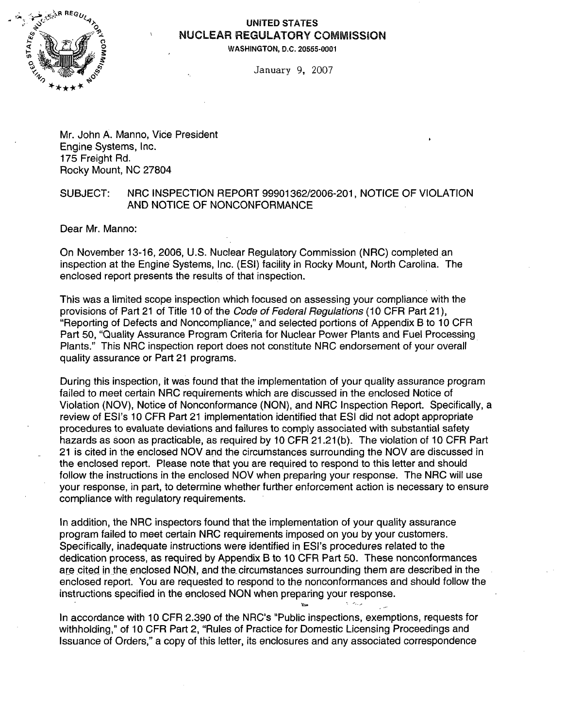

### UNITED **STATES** NUCLEAR REGULATORY COMMISSION

**WASHINGTON, D.C. 20555-0001**

January 9, 2007

Mr. John A. Manno, Vice President Engine Systems, Inc. 175 Freight Rd. Rocky Mount, NC 27804

### SUBJECT: NRC INSPECTION REPORT 99901362/2006-201, NOTICE OF VIOLATION AND NOTICE OF NONCONFORMANCE

Dear Mr. Manno:

On November 13-16, 2006, U.S. Nuclear Regulatory Commission (NRC) completed an inspection at the Engine Systems, Inc. (ESI) facility in Rocky Mount, North Carolina. The enclosed report presents the results of that inspection.

This was a limited scope inspection which focused on assessing your compliance with the provisions of Part 21 of Title 10 of the *Code of Federal Regulations* (10 CFR Part 21), "Reporting of Defects and Noncompliance," and selected portions of Appendix B to 10 CFR Part 50, "Quality Assurance Program Criteria for Nuclear Power Plants and Fuel Processing Plants." This NRC inspection report does not constitute NRC endorsement of your overall quality assurance or Part 21 programs.

During this inspection, it was found that the implementation of your quality assurance program failed to meet certain NRC requirements which are discussed in the enclosed Notice of Violation (NOV), Notice of Nonconformance (NON), and NRC Inspection Report. Specifically, a review of ESI's 10 CFR Part 21 implementation identified that ESI did not adopt appropriate procedures to evaluate deviations and failures to comply associated with substantial safety hazards as soon as practicable, as required by 10 CFR 21.21 (b). The violation of 10 CFR Part 21 is cited in the enclosed NOV and the circumstances surrounding the NOV are discussed in the enclosed report. Please note that you are required to respond to this letter and should follow the instructions in the enclosed NOV when preparing your response. The NRC will use your response, in part, to determine whether further enforcement action is necessary to ensure compliance with regulatory requirements.

In addition, the NRC inspectors found that the implementation of your quality assurance program failed to meet certain NRC requirements imposed on you by your customers. Specifically, inadequate instructions were identified in ESI's procedures related to the dedication process, as required by Appendix B to 10 CFR Part 50. These nonconformances are cited in the enclosed NON, and the circumstances surrounding them are described in the enclosed report. You are requested to respond to the nonconformances and should follow the instructions specified in the enclosed NON when preparing your response.

 $\sigma_{\rm{max}}$ 

In accordance with 10 CFR 2.390 of the NRC's "Public inspections, exemptions, requests for withholding," of 10 CFR Part 2, "Rules of Practice for Domestic Licensing Proceedings and Issuance of Orders," a copy of this letter, its enclosures and any associated correspondence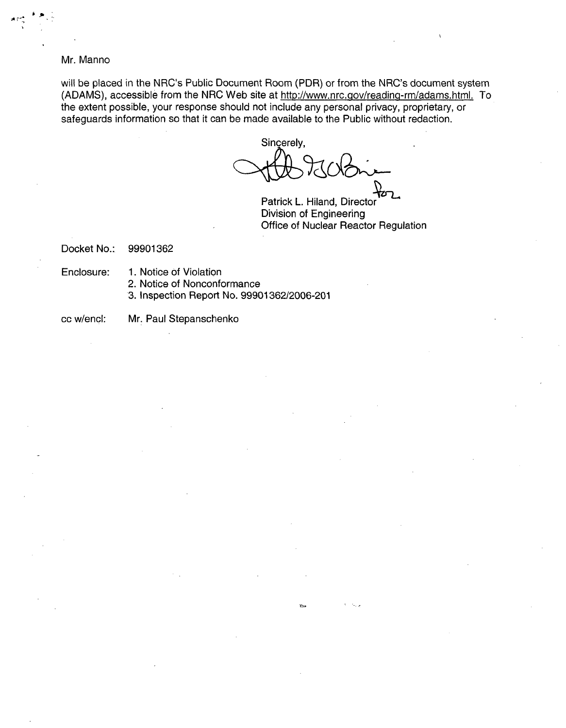#### Mr. Manno

**h~~ <sup>A</sup>**~'

will be placed in the NRC's Public Document Room (PDR) or from the NRC's document system (ADAMS), accessible from the NRC Web site at http://www.nrc.gov/reading-rm/adams.html. To the extent possible, your response should not include any personal privacy, proprietary, or safeguards information so that it can be made available to the Public without redaction.

Sincerely,

Patrick L. Hiland, Director Division of Engineering Office of Nuclear Reactor Regulation

Docket No.: 99901362

Enclosure: 1. Notice of Violation

- 2. Notice of Nonconformance
- 3. Inspection Report No. 99901362/2006-201

cc w/encl: Mr. Paul Stepanschenko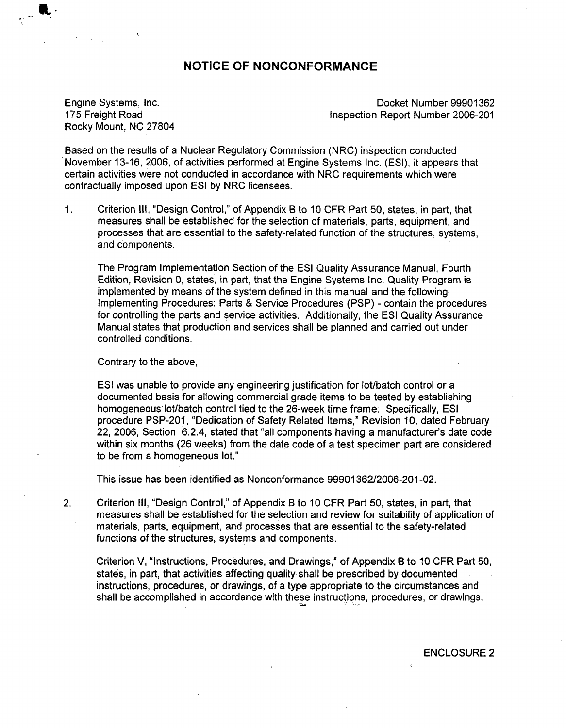### **NOTICE** OF **NONCONFORMANCE**

Rocky Mount, NC 27804

Engine Systems, Inc. **Engine Systems**, Inc. 175 Freight Road **Inspection Report Number 2006-201** 

Based on the results of a Nuclear Regulatory Commission (NRC) inspection conducted November 13-16, 2006, of activities performed at Engine Systems Inc. (ESI), it appears that certain activities were not conducted in accordance with NRC requirements which were contractually imposed upon ESI by NRC licensees.

1. Criterion **III,** "Design Control," of Appendix B to 10 CFR Part 50, states, in part, that measures shall be established for the selection of materials, parts, equipment, and processes that are essential to the safety-related function of the structures, systems, and components.

The Program Implementation Section of the ESI Quality Assurance Manual, Fourth Edition, Revision 0, states, in part, that the Engine Systems Inc. Quality Program is implemented by means of the system defined in this manual and the following Implementing Procedures: Parts & Service Procedures (PSP) - contain the procedures for controlling the parts and service activities. Additionally, the ESI Quality Assurance Manual states that production and services shall be planned and carried out under controlled conditions.

Contrary to the above,

ESI was unable to provide any engineering justification for lot/batch control or a documented basis for allowing commercial grade items to be tested by establishing homogeneous lot/batch control tied to the 26-week time frame. Specifically, ESI procedure PSP-201, "Dedication of Safety Related Items," Revision 10, dated February 22, 2006, Section 6.2.4, stated that "all components having a manufacturer's date code within six months (26 weeks) from the date code of a test specimen part are considered to be from a homogeneous lot."

This issue has been identified as Nonconformance 99901362/2006-201-02.

2. Criterion Ill, "Design Control," of Appendix B to 10 CFR Part 50, states, in part, that measures shall be established for the selection and review for suitability of application of materials, parts, equipment, and processes that are essential to the safety-related functions of the structures, systems and components.

Criterion V, "Instructions, Procedures, and Drawings," of Appendix B to 10 CFR Part 50, states, in part, that activities affecting quality shall be prescribed by documented instructions, procedures, or drawings, of a type appropriate to the circumstances and shall be accomplished in accordance with these instructions, procedures, or drawings.